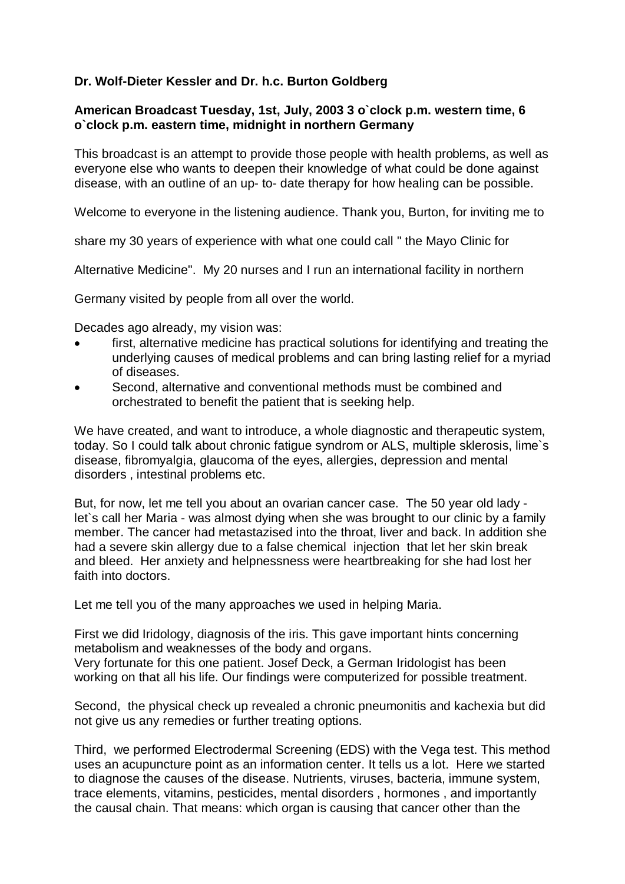## **Dr. Wolf-Dieter Kessler and Dr. h.c. Burton Goldberg**

## **American Broadcast Tuesday, 1st, July, 2003 3 o`clock p.m. western time, 6 o`clock p.m. eastern time, midnight in northern Germany**

This broadcast is an attempt to provide those people with health problems, as well as everyone else who wants to deepen their knowledge of what could be done against disease, with an outline of an up- to- date therapy for how healing can be possible.

Welcome to everyone in the listening audience. Thank you, Burton, for inviting me to

share my 30 years of experience with what one could call " the Mayo Clinic for

Alternative Medicine". My 20 nurses and I run an international facility in northern

Germany visited by people from all over the world.

Decades ago already, my vision was:

- first, alternative medicine has practical solutions for identifying and treating the underlying causes of medical problems and can bring lasting relief for a myriad of diseases.
- Second, alternative and conventional methods must be combined and orchestrated to benefit the patient that is seeking help.

We have created, and want to introduce, a whole diagnostic and therapeutic system, today. So I could talk about chronic fatigue syndrom or ALS, multiple sklerosis, lime`s disease, fibromyalgia, glaucoma of the eyes, allergies, depression and mental disorders , intestinal problems etc.

But, for now, let me tell you about an ovarian cancer case. The 50 year old lady let`s call her Maria - was almost dying when she was brought to our clinic by a family member. The cancer had metastazised into the throat, liver and back. In addition she had a severe skin allergy due to a false chemical injection that let her skin break and bleed. Her anxiety and helpnessness were heartbreaking for she had lost her faith into doctors.

Let me tell you of the many approaches we used in helping Maria.

First we did Iridology, diagnosis of the iris. This gave important hints concerning metabolism and weaknesses of the body and organs. Very fortunate for this one patient. Josef Deck, a German Iridologist has been

working on that all his life. Our findings were computerized for possible treatment.

Second, the physical check up revealed a chronic pneumonitis and kachexia but did not give us any remedies or further treating options.

Third, we performed Electrodermal Screening (EDS) with the Vega test. This method uses an acupuncture point as an information center. It tells us a lot. Here we started to diagnose the causes of the disease. Nutrients, viruses, bacteria, immune system, trace elements, vitamins, pesticides, mental disorders , hormones , and importantly the causal chain. That means: which organ is causing that cancer other than the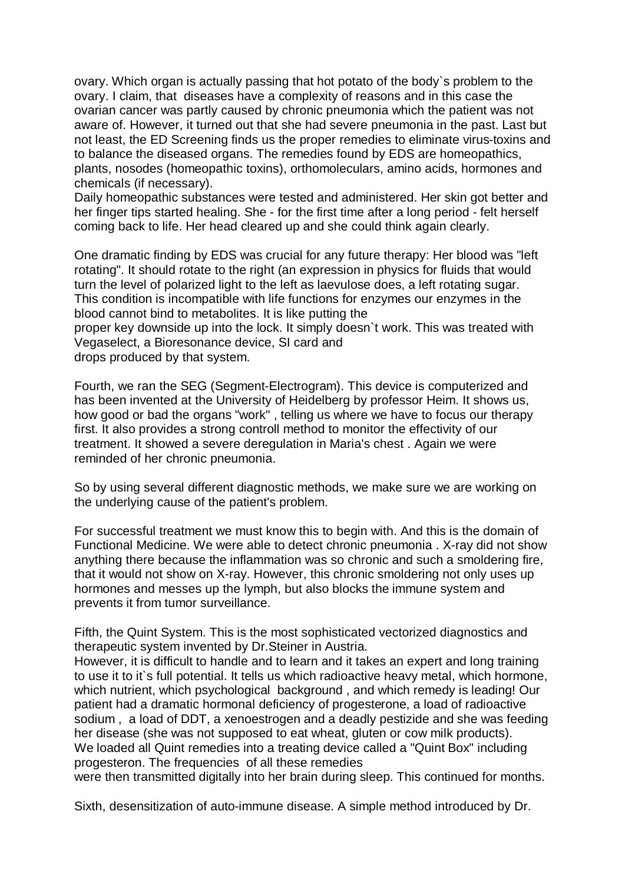ovary. Which organ is actually passing that hot potato of the body`s problem to the ovary. I claim, that diseases have a complexity of reasons and in this case the ovarian cancer was partly caused by chronic pneumonia which the patient was not aware of. However, it turned out that she had severe pneumonia in the past. Last but not least, the ED Screening finds us the proper remedies to eliminate virus-toxins and to balance the diseased organs. The remedies found by EDS are homeopathics, plants, nosodes (homeopathic toxins), orthomoleculars, amino acids, hormones and chemicals (if necessary).

Daily homeopathic substances were tested and administered. Her skin got better and her finger tips started healing. She - for the first time after a long period - felt herself coming back to life. Her head cleared up and she could think again clearly.

One dramatic finding by EDS was crucial for any future therapy: Her blood was "left rotating". It should rotate to the right (an expression in physics for fluids that would turn the level of polarized light to the left as laevulose does, a left rotating sugar. This condition is incompatible with life functions for enzymes our enzymes in the blood cannot bind to metabolites. It is like putting the

proper key downside up into the lock. It simply doesn`t work. This was treated with Vegaselect, a Bioresonance device, SI card and drops produced by that system.

Fourth, we ran the SEG (Segment-Electrogram). This device is computerized and has been invented at the University of Heidelberg by professor Heim. It shows us, how good or bad the organs "work" , telling us where we have to focus our therapy first. It also provides a strong controll method to monitor the effectivity of our treatment. It showed a severe deregulation in Maria's chest . Again we were reminded of her chronic pneumonia.

So by using several different diagnostic methods, we make sure we are working on the underlying cause of the patient's problem.

For successful treatment we must know this to begin with. And this is the domain of Functional Medicine. We were able to detect chronic pneumonia . X-ray did not show anything there because the inflammation was so chronic and such a smoldering fire, that it would not show on X-ray. However, this chronic smoldering not only uses up hormones and messes up the lymph, but also blocks the immune system and prevents it from tumor surveillance.

Fifth, the Quint System. This is the most sophisticated vectorized diagnostics and therapeutic system invented by Dr.Steiner in Austria.

However, it is difficult to handle and to learn and it takes an expert and long training to use it to it`s full potential. It tells us which radioactive heavy metal, which hormone, which nutrient, which psychological background , and which remedy is leading! Our patient had a dramatic hormonal deficiency of progesterone, a load of radioactive sodium , a load of DDT, a xenoestrogen and a deadly pestizide and she was feeding her disease (she was not supposed to eat wheat, gluten or cow milk products). We loaded all Quint remedies into a treating device called a "Quint Box" including progesteron. The frequencies of all these remedies

were then transmitted digitally into her brain during sleep. This continued for months.

Sixth, desensitization of auto-immune disease. A simple method introduced by Dr.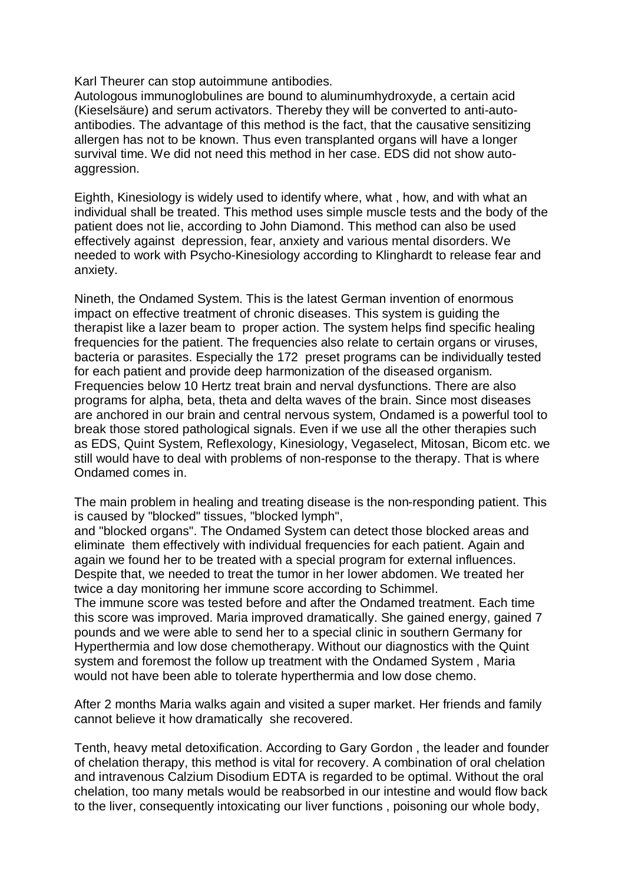Karl Theurer can stop autoimmune antibodies.

Autologous immunoglobulines are bound to aluminumhydroxyde, a certain acid (Kieselsäure) and serum activators. Thereby they will be converted to anti-autoantibodies. The advantage of this method is the fact, that the causative sensitizing allergen has not to be known. Thus even transplanted organs will have a longer survival time. We did not need this method in her case. EDS did not show autoaggression.

Eighth, Kinesiology is widely used to identify where, what , how, and with what an individual shall be treated. This method uses simple muscle tests and the body of the patient does not lie, according to John Diamond. This method can also be used effectively against depression, fear, anxiety and various mental disorders. We needed to work with Psycho-Kinesiology according to Klinghardt to release fear and anxiety.

Nineth, the Ondamed System. This is the latest German invention of enormous impact on effective treatment of chronic diseases. This system is guiding the therapist like a lazer beam to proper action. The system helps find specific healing frequencies for the patient. The frequencies also relate to certain organs or viruses, bacteria or parasites. Especially the 172 preset programs can be individually tested for each patient and provide deep harmonization of the diseased organism. Frequencies below 10 Hertz treat brain and nerval dysfunctions. There are also programs for alpha, beta, theta and delta waves of the brain. Since most diseases are anchored in our brain and central nervous system, Ondamed is a powerful tool to break those stored pathological signals. Even if we use all the other therapies such as EDS, Quint System, Reflexology, Kinesiology, Vegaselect, Mitosan, Bicom etc. we still would have to deal with problems of non-response to the therapy. That is where Ondamed comes in.

The main problem in healing and treating disease is the non-responding patient. This is caused by "blocked" tissues, "blocked lymph",

and "blocked organs". The Ondamed System can detect those blocked areas and eliminate them effectively with individual frequencies for each patient. Again and again we found her to be treated with a special program for external influences. Despite that, we needed to treat the tumor in her lower abdomen. We treated her twice a day monitoring her immune score according to Schimmel.

The immune score was tested before and after the Ondamed treatment. Each time this score was improved. Maria improved dramatically. She gained energy, gained 7 pounds and we were able to send her to a special clinic in southern Germany for Hyperthermia and low dose chemotherapy. Without our diagnostics with the Quint system and foremost the follow up treatment with the Ondamed System , Maria would not have been able to tolerate hyperthermia and low dose chemo.

After 2 months Maria walks again and visited a super market. Her friends and family cannot believe it how dramatically she recovered.

Tenth, heavy metal detoxification. According to Gary Gordon , the leader and founder of chelation therapy, this method is vital for recovery. A combination of oral chelation and intravenous Calzium Disodium EDTA is regarded to be optimal. Without the oral chelation, too many metals would be reabsorbed in our intestine and would flow back to the liver, consequently intoxicating our liver functions , poisoning our whole body,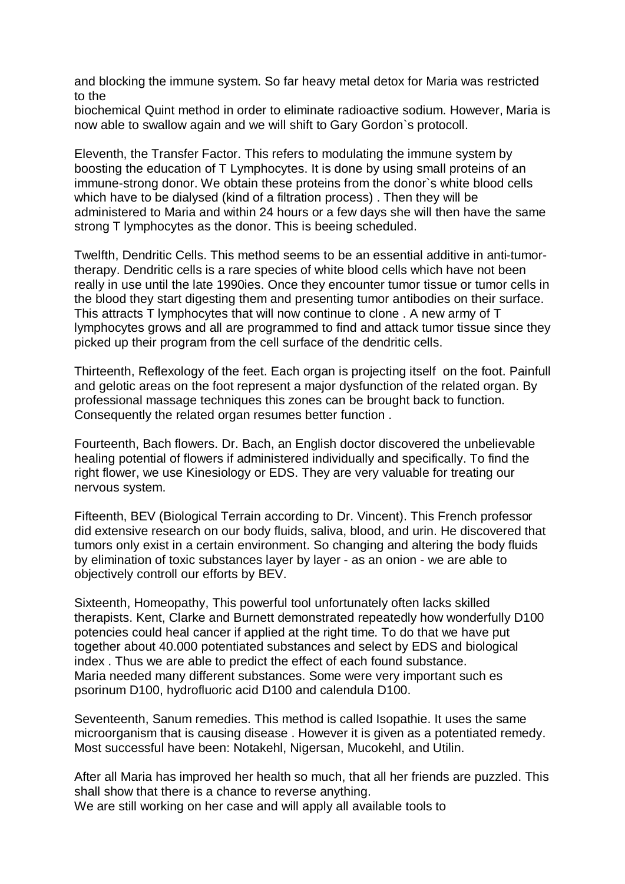and blocking the immune system. So far heavy metal detox for Maria was restricted to the

biochemical Quint method in order to eliminate radioactive sodium. However, Maria is now able to swallow again and we will shift to Gary Gordon`s protocoll.

Eleventh, the Transfer Factor. This refers to modulating the immune system by boosting the education of T Lymphocytes. It is done by using small proteins of an immune-strong donor. We obtain these proteins from the donor`s white blood cells which have to be dialysed (kind of a filtration process) . Then they will be administered to Maria and within 24 hours or a few days she will then have the same strong T lymphocytes as the donor. This is beeing scheduled.

Twelfth, Dendritic Cells. This method seems to be an essential additive in anti-tumortherapy. Dendritic cells is a rare species of white blood cells which have not been really in use until the late 1990ies. Once they encounter tumor tissue or tumor cells in the blood they start digesting them and presenting tumor antibodies on their surface. This attracts T lymphocytes that will now continue to clone . A new army of T lymphocytes grows and all are programmed to find and attack tumor tissue since they picked up their program from the cell surface of the dendritic cells.

Thirteenth, Reflexology of the feet. Each organ is projecting itself on the foot. Painfull and gelotic areas on the foot represent a major dysfunction of the related organ. By professional massage techniques this zones can be brought back to function. Consequently the related organ resumes better function .

Fourteenth, Bach flowers. Dr. Bach, an English doctor discovered the unbelievable healing potential of flowers if administered individually and specifically. To find the right flower, we use Kinesiology or EDS. They are very valuable for treating our nervous system.

Fifteenth, BEV (Biological Terrain according to Dr. Vincent). This French professor did extensive research on our body fluids, saliva, blood, and urin. He discovered that tumors only exist in a certain environment. So changing and altering the body fluids by elimination of toxic substances layer by layer - as an onion - we are able to objectively controll our efforts by BEV.

Sixteenth, Homeopathy, This powerful tool unfortunately often lacks skilled therapists. Kent, Clarke and Burnett demonstrated repeatedly how wonderfully D100 potencies could heal cancer if applied at the right time. To do that we have put together about 40.000 potentiated substances and select by EDS and biological index . Thus we are able to predict the effect of each found substance. Maria needed many different substances. Some were very important such es psorinum D100, hydrofluoric acid D100 and calendula D100.

Seventeenth, Sanum remedies. This method is called Isopathie. It uses the same microorganism that is causing disease . However it is given as a potentiated remedy. Most successful have been: Notakehl, Nigersan, Mucokehl, and Utilin.

After all Maria has improved her health so much, that all her friends are puzzled. This shall show that there is a chance to reverse anything. We are still working on her case and will apply all available tools to